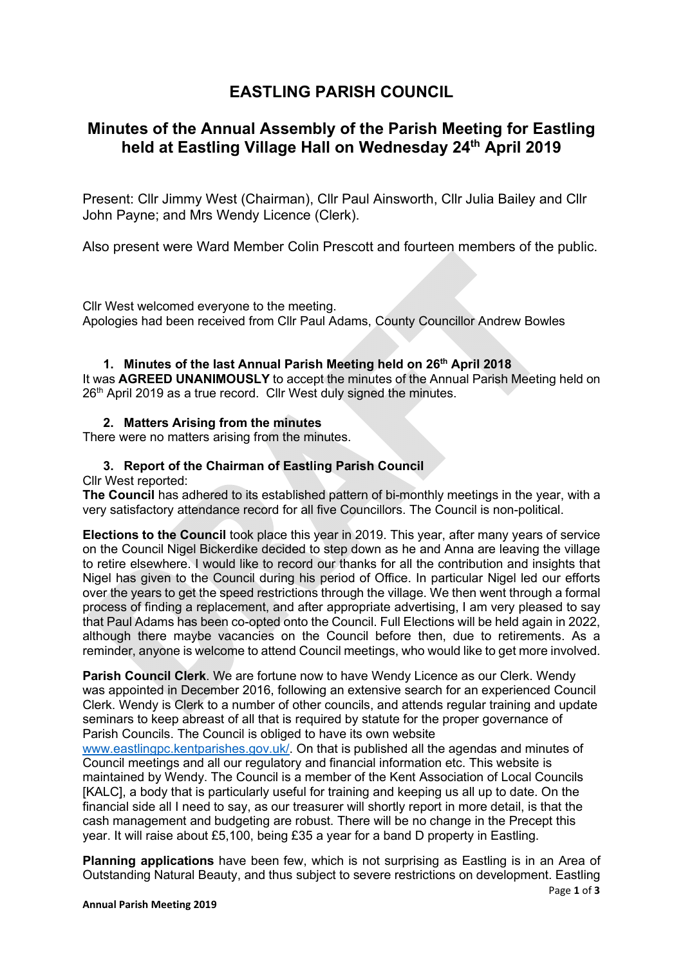# **EASTLING PARISH COUNCIL**

## **Minutes of the Annual Assembly of the Parish Meeting for Eastling held at Eastling Village Hall on Wednesday 24th April 2019**

Present: Cllr Jimmy West (Chairman), Cllr Paul Ainsworth, Cllr Julia Bailey and Cllr John Payne; and Mrs Wendy Licence (Clerk).

Also present were Ward Member Colin Prescott and fourteen members of the public.

Cllr West welcomed everyone to the meeting. Apologies had been received from Cllr Paul Adams, County Councillor Andrew Bowles

## **1. Minutes of the last Annual Parish Meeting held on 26th April 2018**

It was **AGREED UNANIMOUSLY** to accept the minutes of the Annual Parish Meeting held on 26<sup>th</sup> April 2019 as a true record. Cllr West duly signed the minutes.

## **2. Matters Arising from the minutes**

There were no matters arising from the minutes.

## **3. Report of the Chairman of Eastling Parish Council**

#### Cllr West reported:

**The Council** has adhered to its established pattern of bi-monthly meetings in the year, with a very satisfactory attendance record for all five Councillors. The Council is non-political.

**Elections to the Council** took place this year in 2019. This year, after many years of service on the Council Nigel Bickerdike decided to step down as he and Anna are leaving the village to retire elsewhere. I would like to record our thanks for all the contribution and insights that Nigel has given to the Council during his period of Office. In particular Nigel led our efforts over the years to get the speed restrictions through the village. We then went through a formal process of finding a replacement, and after appropriate advertising, I am very pleased to say that Paul Adams has been co-opted onto the Council. Full Elections will be held again in 2022, although there maybe vacancies on the Council before then, due to retirements. As a reminder, anyone is welcome to attend Council meetings, who would like to get more involved.

**Parish Council Clerk**. We are fortune now to have Wendy Licence as our Clerk. Wendy was appointed in December 2016, following an extensive search for an experienced Council Clerk. Wendy is Clerk to a number of other councils, and attends regular training and update seminars to keep abreast of all that is required by statute for the proper governance of Parish Councils. The Council is obliged to have its own website

www.eastlingpc.kentparishes.gov.uk/. On that is published all the agendas and minutes of Council meetings and all our regulatory and financial information etc. This website is maintained by Wendy. The Council is a member of the Kent Association of Local Councils [KALC], a body that is particularly useful for training and keeping us all up to date. On the financial side all I need to say, as our treasurer will shortly report in more detail, is that the cash management and budgeting are robust. There will be no change in the Precept this year. It will raise about £5,100, being £35 a year for a band D property in Eastling.

**Planning applications** have been few, which is not surprising as Eastling is in an Area of Outstanding Natural Beauty, and thus subject to severe restrictions on development. Eastling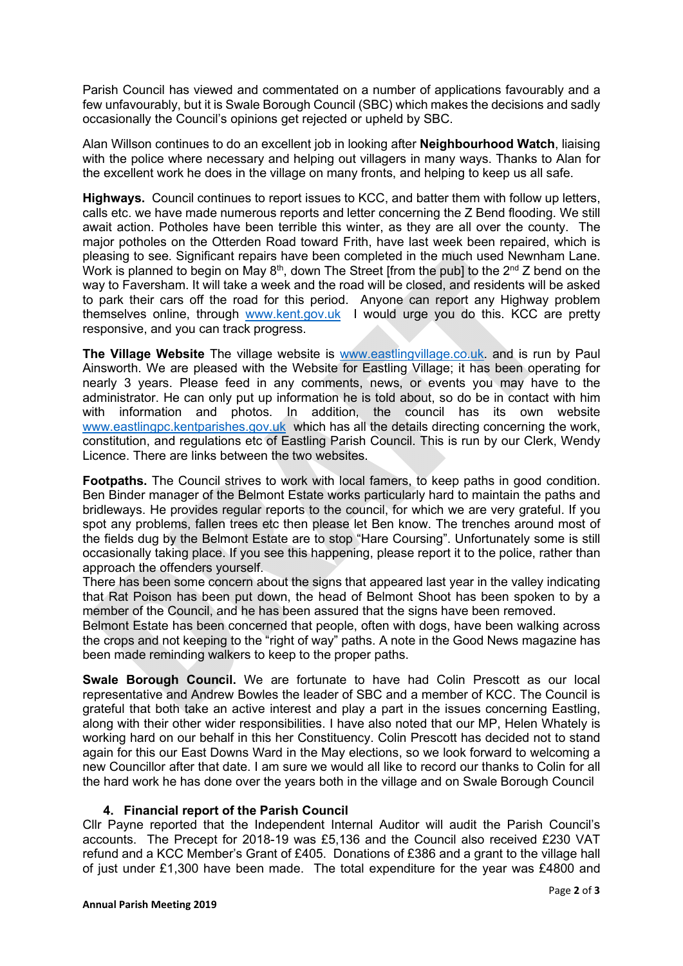Parish Council has viewed and commentated on a number of applications favourably and a few unfavourably, but it is Swale Borough Council (SBC) which makes the decisions and sadly occasionally the Council's opinions get rejected or upheld by SBC.

Alan Willson continues to do an excellent job in looking after **Neighbourhood Watch**, liaising with the police where necessary and helping out villagers in many ways. Thanks to Alan for the excellent work he does in the village on many fronts, and helping to keep us all safe.

**Highways.** Council continues to report issues to KCC, and batter them with follow up letters, calls etc. we have made numerous reports and letter concerning the Z Bend flooding. We still await action. Potholes have been terrible this winter, as they are all over the county. The major potholes on the Otterden Road toward Frith, have last week been repaired, which is pleasing to see. Significant repairs have been completed in the much used Newnham Lane. Work is planned to begin on May  $8<sup>th</sup>$ , down The Street [from the pub] to the  $2<sup>nd</sup>$  Z bend on the way to Faversham. It will take a week and the road will be closed, and residents will be asked to park their cars off the road for this period. Anyone can report any Highway problem themselves online, through www.kent.gov.uk I would urge you do this. KCC are pretty responsive, and you can track progress.

**The Village Website** The village website is www.eastlingvillage.co.uk. and is run by Paul Ainsworth. We are pleased with the Website for Eastling Village; it has been operating for nearly 3 years. Please feed in any comments, news, or events you may have to the administrator. He can only put up information he is told about, so do be in contact with him with information and photos. In addition, the council has its own website www.eastlingpc.kentparishes.gov.uk which has all the details directing concerning the work, constitution, and regulations etc of Eastling Parish Council. This is run by our Clerk, Wendy Licence. There are links between the two websites.

Footpaths. The Council strives to work with local famers, to keep paths in good condition. Ben Binder manager of the Belmont Estate works particularly hard to maintain the paths and bridleways. He provides regular reports to the council, for which we are very grateful. If you spot any problems, fallen trees etc then please let Ben know. The trenches around most of the fields dug by the Belmont Estate are to stop "Hare Coursing". Unfortunately some is still occasionally taking place. If you see this happening, please report it to the police, rather than approach the offenders yourself.

There has been some concern about the signs that appeared last year in the valley indicating that Rat Poison has been put down, the head of Belmont Shoot has been spoken to by a member of the Council, and he has been assured that the signs have been removed.

Belmont Estate has been concerned that people, often with dogs, have been walking across the crops and not keeping to the "right of way" paths. A note in the Good News magazine has been made reminding walkers to keep to the proper paths.

**Swale Borough Council.** We are fortunate to have had Colin Prescott as our local representative and Andrew Bowles the leader of SBC and a member of KCC. The Council is grateful that both take an active interest and play a part in the issues concerning Eastling, along with their other wider responsibilities. I have also noted that our MP, Helen Whately is working hard on our behalf in this her Constituency. Colin Prescott has decided not to stand again for this our East Downs Ward in the May elections, so we look forward to welcoming a new Councillor after that date. I am sure we would all like to record our thanks to Colin for all the hard work he has done over the years both in the village and on Swale Borough Council

#### **4. Financial report of the Parish Council**

Cllr Payne reported that the Independent Internal Auditor will audit the Parish Council's accounts. The Precept for 2018-19 was £5,136 and the Council also received £230 VAT refund and a KCC Member's Grant of £405. Donations of £386 and a grant to the village hall of just under £1,300 have been made. The total expenditure for the year was £4800 and